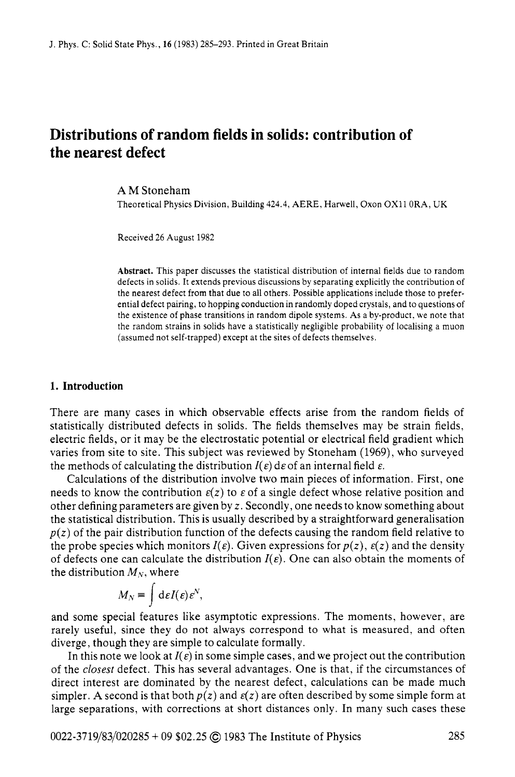# **Distributions of random fields in solids: contribution of the nearest defect**

### **AM** Stoneham

Theoretical Physics Division, Building 424.4, AERE, Harwell, Oxon OX11 ORA, UK

Received 26 August 1982

**Abstract.** This paper discusses the statistical distribution of internal fields due to random defects in solids. It extends previous discussions by separating explicitly the contribution of the nearest defect from that due to all others. Possible applications include those to preferential defect pairing, to hopping conduction in randomly doped crystals, and to questions of the existence of phase transitions in random dipole systems. As a by-product. we note that the random strains in solids have a statistically negligible probability of localising a muon (assumed not self-trapped) except at the sites of defects themselves.

#### **1. Introduction**

There are many cases in which observable effects arise from the random fields of statistically distributed defects in solids. The fields themselves may be strain fields, electric fields, or it may be the electrostatic potential or electrical field gradient which varies from site to site. This subject was reviewed by Stoneham (1969), who surveyed the methods of calculating the distribution  $I(\varepsilon)$  de of an internal field  $\varepsilon$ .

Calculations of the distribution involve two main pieces of information. First, one needs to know the contribution  $\varepsilon(z)$  to  $\varepsilon$  of a single defect whose relative position and other defining parameters are given by *z.* Secondly, one needs to know something about the statistical distribution. This is usually described by a straightforward generalisation  $p(z)$  of the pair distribution function of the defects causing the random field relative to the probe species which monitors  $I(\varepsilon)$ . Given expressions for  $p(z)$ ,  $\varepsilon(z)$  and the density of defects one can calculate the distribution  $I(\varepsilon)$ . One can also obtain the moments of the distribution  $M_N$ , where

$$
M_N = \int d\varepsilon I(\varepsilon) \varepsilon^N,
$$

and some special features like asymptotic expressions. The moments, however, are rarely useful, since they do not always correspond to what is measured, and often diverge, though they are simple to calculate formally.

In this note we look at  $I(\varepsilon)$  in some simple cases, and we project out the contribution of the *closest* defect. This has several advantages. One is that, if the circumstances of direct interest are dominated by the nearest defect, calculations can be made much simpler. A second is that both  $p(z)$  and  $\varepsilon(z)$  are often described by some simple form at large separations, with corrections at short distances only. In many such cases these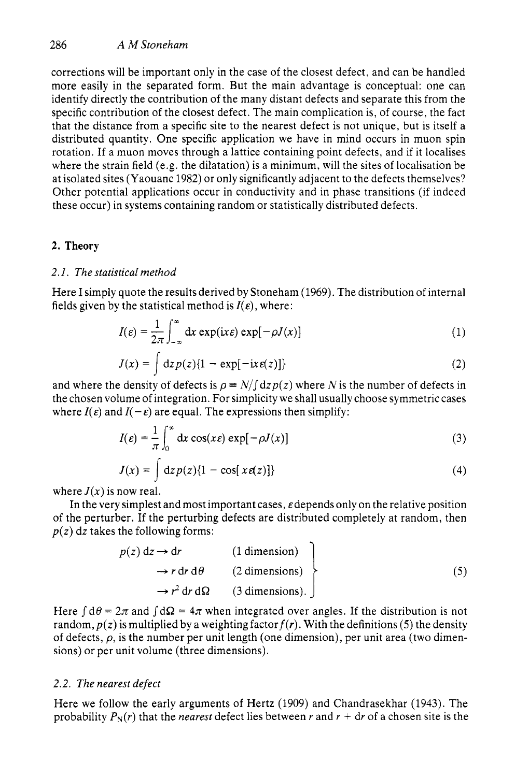corrections will be important only in the case of the closest defect, and can be handled more easily in the separated form. But the main advantage is conceptual: one can identify directly the contribution of the many distant defects and separate this from the specific contribution of the closest defect. The main complication is, of course, the fact that the distance from a specific site to the nearest defect is not unique, but is itself a distributed quantity. One specific application we have in mind occurs in muon spin rotation. If a muon moves through a lattice containing point defects, and if it localises where the strain field (e.g. the dilatation) is a minimum, will the sites of localisation be at isolated sites (Yaouanc 1982) or only significantly adjacent to the defects themselves? Other potential applications occur in conductivity and in phase transitions (if indeed these occur) in systems containing random or statistically distributed defects.

# **2. Theory**

# 2. *I.* The statistical method

Here I simply quote the resuits derived by Stoneham (1969). The distribution of internal fields given by the statistical method is  $I(\varepsilon)$ , where:

$$
I(\varepsilon) = \frac{1}{2\pi} \int_{-\infty}^{\infty} dx \exp(ix\varepsilon) \exp[-\rho J(x)] \tag{1}
$$

$$
J(x) = \int dz p(z) \{1 - \exp[-ix \varepsilon(z)]\}
$$
 (2)

and where the density of defects is  $\rho \equiv N/\int dz p(z)$  where *N* is the number of defects in the chosen volume of integration. For simplicity we shall usually choose symmetric cases where  $I(\varepsilon)$  and  $I(-\varepsilon)$  are equal. The expressions then simplify:

$$
I(\varepsilon) = \frac{1}{\pi} \int_0^\infty dx \cos(x\varepsilon) \exp[-\rho J(x)] \tag{3}
$$

$$
J(x) = \int dz p(z) \{1 - \cos[x \varepsilon(z)]\}
$$
 (4)

where  $J(x)$  is now real.

In the very simplest and most important cases,  $\varepsilon$  depends only on the relative position of the perturber. If the perturbing defects are distributed completely at random, then  $p(z)$  dz takes the following forms:

$$
p(z) dz \rightarrow dr
$$
 (1 dimension)  
\n
$$
\rightarrow r dr d\theta
$$
 (2 dimensions)  
\n
$$
\rightarrow r2 dr d\Omega
$$
 (3 dimensions). (5)

Here  $\int d\theta = 2\pi$  and  $\int d\Omega = 4\pi$  when integrated over angles. If the distribution is not random,  $p(z)$  is multiplied by a weighting factor  $f(r)$ . With the definitions (5) the density of defects,  $\rho$ , is the number per unit length (one dimension), per unit area (two dimensions) or per unit volume (three dimensions).

## *2.2.* The nearest defect

Here we follow the early arguments of Hertz (1909) and Chandrasekhar (1943). The probability  $P_N(r)$  that the *nearest* defect lies between r and  $r + dr$  of a chosen site is the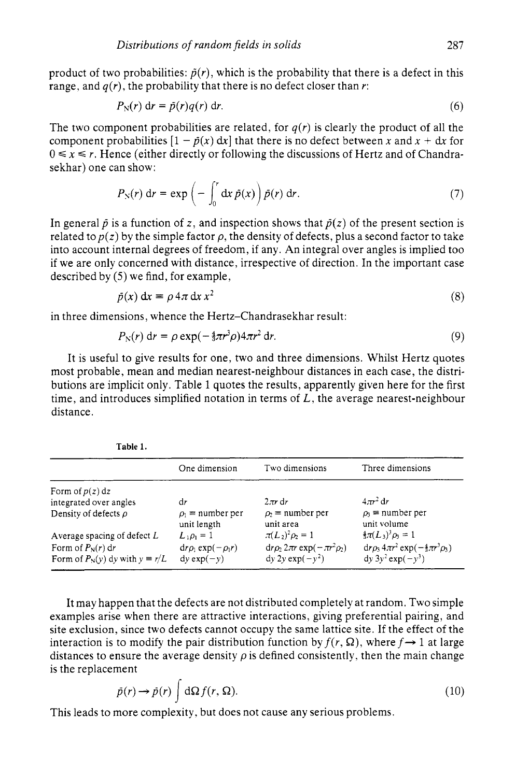product of two probabilities:  $\tilde{p}(r)$ , which is the probability that there is a defect in this range, and  $q(r)$ , the probability that there is no defect closer than r:

$$
P_N(r) dr = \tilde{p}(r)q(r) dr.
$$
 (6)

The two component probabilities are related, for  $q(r)$  is clearly the product of all the component probabilities  $[1 - \tilde{p}(x) dx]$  that there is no defect between x and x + dx for  $0 \le x \le r$ . Hence (either directly or following the discussions of Hertz and of Chandrasekhar) one can show:

$$
P_{\rm N}(r) dr = \exp\left(-\int_0^r dx \,\tilde{p}(x)\right) \tilde{p}(r) dr. \tag{7}
$$

In general  $\tilde{p}$  is a function of z, and inspection shows that  $\tilde{p}(z)$  of the present section is related to  $p(z)$  by the simple factor  $\rho$ , the density of defects, plus a second factor to take into account internal degrees of freedom, if any. An integral over angles is implied too if we are only concerned with distance, irrespective of direction. In the important case described by *(5)* we find, for example,

$$
\tilde{p}(x) dx = \rho 4\pi dx x^2
$$
 (8)

in three dimensions, whence the Hertz-Chandrasekhar result:

$$
P_{\rm N}(r) \, \mathrm{d}r = \rho \exp\left(-\frac{4}{3}\pi r^3 \rho\right) 4\pi r^2 \, \mathrm{d}r. \tag{9}
$$

It is useful to give results for one, two and three dimensions. Whilst Hertz quotes most probable, mean and median nearest-neighbour distances in each case, the distributions are implicit only. Table 1 quotes the results, apparently given here for the first time, and introduces simplified notation in terms of *L,* the average nearest-neighbour distance.

| таше т.                                 |                                      |                                         |                                                               |
|-----------------------------------------|--------------------------------------|-----------------------------------------|---------------------------------------------------------------|
|                                         | One dimension                        | Two dimensions                          | Three dimensions                                              |
| Form of $p(z) dz$                       |                                      |                                         |                                                               |
| integrated over angles                  | dr                                   | $2\pi r dr$                             | $4\pi r^2$ dr                                                 |
| Density of defects $\rho$               | $\rho_1$ = number per<br>unit length | $\rho_2$ = number per<br>unit area      | $\rho_1$ = number per<br>unit volume                          |
| Average spacing of defect $L$           | $L_1 \rho_1 = 1$                     | $\pi(L_2)^2 \rho_2 = 1$                 | $\frac{4}{3}\pi(L_3)^3\rho_3=1$                               |
| Form of $P_N(r)$ dr                     | $dr\rho_1$ exp( $-\rho_1 r$ )        | $dr\rho_2 2\pi r \exp(-\pi r^2 \rho_2)$ | $\mathrm{d}r\rho_3 4\pi r^2 \exp(-\frac{4}{3}\pi r^3 \rho_3)$ |
| Form of $P_N(y)$ dy with $y \equiv r/L$ | $dy exp(-y)$                         | $dy 2y exp(-y^2)$                       | $dy 3y^2 exp(-y^3)$                                           |

It may happen that the defects are not distributed completely at random. Two simple examples arise when there are attractive interactions, giving preferential pairing, and site exclusion, since two defects cannot occupy the same lattice site. If the effect of the interaction is to modify the pair distribution function by  $f(r, \Omega)$ , where  $f \rightarrow 1$  at large distances to ensure the average density  $\rho$  is defined consistently, then the main change is the replacement

$$
\tilde{p}(r) \to \tilde{p}(r) \int d\Omega f(r, \Omega). \tag{10}
$$

This leads to more complexity, but does not cause any serious problems.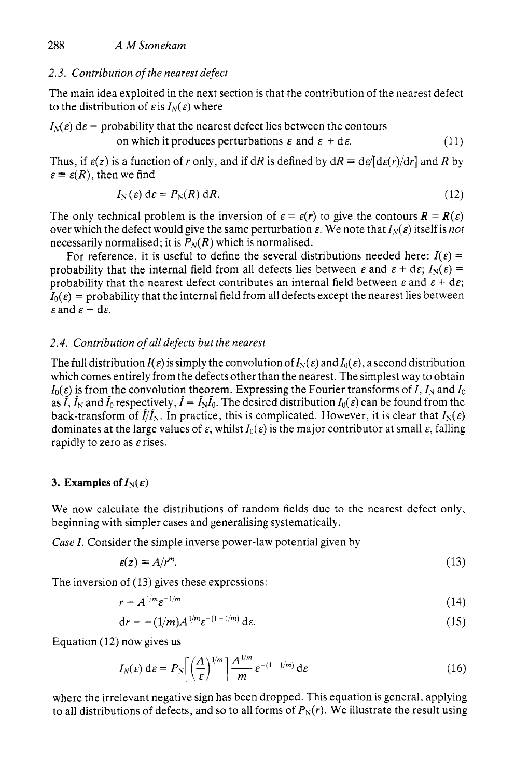### *2.3. Contribution of the nearest defect*

The main idea exploited in the next section is that the contribution of the nearest defect to the distribution of  $\epsilon$  is  $I_N(\epsilon)$  where

 $I_N(\varepsilon)$  d $\varepsilon$  = probability that the nearest defect lies between the contours

on which it produces perturbations 
$$
\varepsilon
$$
 and  $\varepsilon + d\varepsilon$ . (11)

Thus, if  $\varepsilon(z)$  is a function of *r* only, and if dR is defined by  $dR = d\varepsilon/(d\varepsilon(r)/dr)$  and R by  $\varepsilon \equiv \varepsilon(R)$ , then we find

$$
I_{N}(\varepsilon) d\varepsilon = P_{N}(R) dR. \qquad (12)
$$

The only technical problem is the inversion of  $\varepsilon = \varepsilon(r)$  to give the contours  $\mathbf{R} = \mathbf{R}(\varepsilon)$ over which the defect would give the same perturbation  $\varepsilon$ . We note that  $I_N(\varepsilon)$  itself is *not* necessarily normalised; it is  $P_N(R)$  which is normalised.

For reference, it is useful to define the several distributions needed here:  $I(\varepsilon)$  = probability that the internal field from all defects lies between  $\varepsilon$  and  $\varepsilon + d\varepsilon$ ;  $I_N(\varepsilon) =$ probability that the nearest defect contributes an internal field between  $\varepsilon$  and  $\varepsilon + d\varepsilon$ ;  $I_0(\varepsilon)$  = probability that the internal field from all defects except the nearest lies between  $\varepsilon$  and  $\varepsilon$  + d $\varepsilon$ .

## *2.4. Contribution of all defects but the nearest*

The full distribution  $I(\varepsilon)$  is simply the convolution of  $I_N(\varepsilon)$  and  $I_0(\varepsilon)$ , a second distribution which comes entirely from the defects other than the nearest. The simplest way to obtain  $I_0(\varepsilon)$  is from the convolution theorem. Expressing the Fourier transforms of *I*,  $I_N$  and  $I_0$ as  $\tilde{I}$ ,  $\tilde{I}_N$  and  $\tilde{I}_0$  respectively,  $\tilde{I} = \tilde{I}_N \tilde{I}_0$ . The desired distribution  $I_0(\varepsilon)$  can be found from the back-transform of  $\tilde{I}/\tilde{I}_N$ . In practice, this is complicated. However, it is clear that  $I_N(\varepsilon)$ dominates at the large values of  $\varepsilon$ , whilst  $I_0(\varepsilon)$  is the major contributor at small  $\varepsilon$ , falling rapidly to zero as  $\varepsilon$  rises.

## **3. Examples of**  $I_N(\varepsilon)$

We now calculate the distributions of random fields due to the nearest defect only, beginning with simpler cases and generalising systematically.

*Case I.* Consider the simple inverse power-law potential given by

$$
\varepsilon(z) \equiv A/r^m. \tag{13}
$$

The inversion of (13) gives these expressions:

$$
r = A^{1/m} \varepsilon^{-1/m} \tag{14}
$$

$$
\mathrm{d}r = -(1/m)A^{1/m}\varepsilon^{-(1+1/m)}\,\mathrm{d}\varepsilon.\tag{15}
$$

Equation (12) now gives us

$$
I_N(\varepsilon) d\varepsilon = P_N \left[ \left( \frac{A}{\varepsilon} \right)^{1/m} \right] \frac{A^{1/m}}{m} \varepsilon^{-(1+1/m)} d\varepsilon \tag{16}
$$

where the irrelevant negative sign has been dropped. This equation is general, applying to all distributions of defects, and so to all forms of  $P_N(r)$ . We illustrate the result using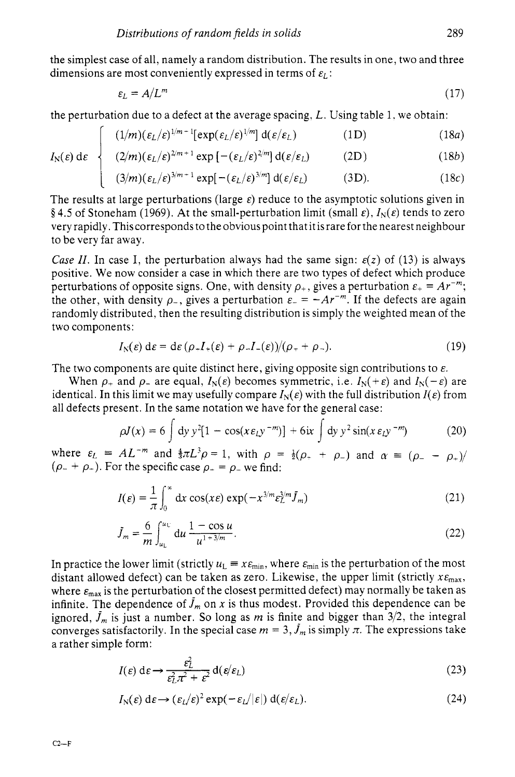the simplest case of all, namely a random distribution. The results in one, two and three dimensions are most conveniently expressed in terms of  $\varepsilon_l$ :

$$
\varepsilon_L = A/L^m \tag{17}
$$

the perturbation due to a defect at the average spacing. *L.* Using table 1. we obtain:

$$
\int (1/m)(\varepsilon_L/\varepsilon)^{1/m-1} [\exp(\varepsilon_L/\varepsilon)^{1/m}] d(\varepsilon/\varepsilon_L)
$$
 (1D) (18a)

$$
I_{\rm N}(\varepsilon) \, \mathrm{d}\varepsilon \quad \left\{ \quad (2/m)(\varepsilon_L/\varepsilon)^{2/m+1} \exp\left[ -(\varepsilon_L/\varepsilon)^{2/m} \right] \mathrm{d}(\varepsilon/\varepsilon_L) \right. \tag{18b}
$$

$$
\left[ (3/m)(\varepsilon_L/\varepsilon)^{3/m+1} \exp[-(\varepsilon_L/\varepsilon)^{3/m}] \, d(\varepsilon/\varepsilon_L) \right] \qquad (3D). \qquad (18c)
$$

The results at large perturbations (large  $\varepsilon$ ) reduce to the asymptotic solutions given in  $\frac{1}{2}$  **f** 4.5 of Stoneham (1969). At the small-perturbation limit (small  $\varepsilon$ ),  $I_N(\varepsilon)$  tends to zero very rapidly, This corresponds to the obvious point that it is rare for the nearest neighbour to be very far away.

*Case II.* In case I, the perturbation always had the same sign:  $\varepsilon(z)$  of (13) is always positive. We now consider a case in which there are two types of defect which produce perturbations of opposite signs. One, with density  $\rho_+$ , gives a perturbation  $\varepsilon_+ = Ar^{-m}$ ; the other, with density  $\rho$ , gives a perturbation  $\varepsilon = -Ar^{-m}$ . If the defects are again randomly distributed, then the resulting distribution is simply the weighted mean of the two components:

$$
I_{\rm N}(\varepsilon) \, \mathrm{d}\varepsilon = \mathrm{d}\varepsilon \, (\rho_+ I_+(\varepsilon) + \rho_- I_-(\varepsilon)) / (\rho_+ + \rho_-). \tag{19}
$$

The two components are quite distinct here, giving opposite sign contributions to *E.* 

When  $\rho_+$  and  $\rho_-$  are equal,  $I_N(\varepsilon)$  becomes symmetric, i.e.  $I_N(+\varepsilon)$  and  $I_N(-\varepsilon)$  are identical. In this limit we may usefully compare  $I_N(\varepsilon)$  with the full distribution  $I(\varepsilon)$  from all defects present. In the same notation we have for the general case:

$$
\rho J(x) = 6 \int dy y^2 [1 - \cos(x \varepsilon_L y^{-m})] + 6ix \int dy y^2 \sin(x \varepsilon_L y^{-m}) \tag{20}
$$

where  $\varepsilon_L = AL^{-m}$  and  $\frac{4}{3}\pi L^3 \rho = 1$ , with  $\rho = \frac{1}{2}(\rho_+ + \rho_-)$  and  $\alpha = (\rho_- - \rho_+)/$  $(\rho_- + \rho_+)$ . For the specific case  $\rho_+ = \rho_-$  we find:

$$
I(\varepsilon) = \frac{1}{\pi} \int_0^\infty dx \cos(x\varepsilon) \exp(-x^{3/m} \varepsilon_L^{3/m} \tilde{J}_m)
$$
 (21)

$$
\tilde{J}_m = \frac{6}{m} \int_{u_L}^{u_L} du \, \frac{1 - \cos u}{u^{1 + 3/m}}.
$$
\n(22)

In practice the lower limit (strictly  $u_L = x \epsilon_{min}$ , where  $\epsilon_{min}$  is the perturbation of the most distant allowed defect) can be taken as zero. Likewise, the upper limit (strictly  $x_{\text{max}}$ , where  $\varepsilon_{\text{max}}$  is the perturbation of the closest permitted defect) may normally be taken as infinite. The dependence of  $J_m$  on x is thus modest. Provided this dependence can be ignored,  $\tilde{J}_m$  is just a number. So long as m is finite and bigger than  $3/2$ , the integral converges satisfactorily. In the special case  $m = 3$ ,  $\hat{J}_m$  is simply  $\pi$ . The expressions take a rather simple form:

$$
I(\varepsilon) d\varepsilon \to \frac{\varepsilon_L^2}{\varepsilon_L^2 \pi^2 + \varepsilon^2} d(\varepsilon/\varepsilon_L)
$$
 (23)

$$
I_{\rm N}(\varepsilon) \, \mathrm{d}\varepsilon \longrightarrow (\varepsilon_L/\varepsilon)^2 \exp(-\varepsilon_L/|\varepsilon|) \, \mathrm{d}(\varepsilon/\varepsilon_L). \tag{24}
$$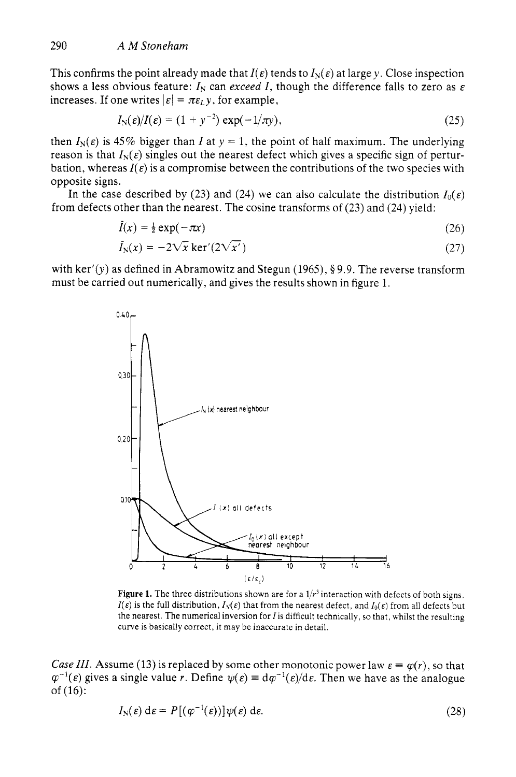This confirms the point already made that  $I(\varepsilon)$  tends to  $I_N(\varepsilon)$  at large y. Close inspection shows a less obvious feature:  $I_N$  can *exceed I*, though the difference falls to zero as  $\varepsilon$ increases. If one writes  $\left| \varepsilon \right| = \pi \varepsilon_L y$ , for example,

$$
I_{\rm N}(\varepsilon)/I(\varepsilon)=(1+y^{-2})\exp(-1/\pi y),\qquad(25)
$$

then  $I_N(\varepsilon)$  is 45% bigger than *I* at  $y = 1$ , the point of half maximum. The underlying reason is that  $I_N(\varepsilon)$  singles out the nearest defect which gives a specific sign of perturbation, whereas  $I(\varepsilon)$  is a compromise between the contributions of the two species with opposite signs.

In the case described by (23) and (24) we can also calculate the distribution  $I_0(\varepsilon)$ from defects other than the nearest. The cosine transforms of (23) and **(24)** yield:

$$
I(x) = \frac{1}{2} \exp(-\pi x) \tag{26}
$$

$$
\tilde{I}_{N}(x) = -2\sqrt{x} \ker'(2\sqrt{x'}) \tag{27}
$$

with ker'(y) as defined in Abramowitz and Stegun (1965), **8** 9.9. The reverse transform must be carried out numerically, and gives the results shown in figure 1.



**Figure 1.** The three distributions shown are for a *l/r3* interaction with defects of both signs.  $I(\varepsilon)$  is the full distribution,  $I_N(\varepsilon)$  that from the nearest defect, and  $I_0(\varepsilon)$  from all defects but the nearest. The numerical inversion for  $I$  is difficult technically, so that, whilst the resulting curve is basically correct, it may be inaccurate in detail.

*Case III.* Assume (13) is replaced by some other monotonic power law  $\varepsilon = \varphi(r)$ , so that  $\varphi^{-1}(\varepsilon)$  gives a single value *r*. Define  $\psi(\varepsilon) = d\varphi^{-1}(\varepsilon)/d\varepsilon$ . Then we have as the analogue of (16): In the value  $\ell$ . Define  $\varphi(\epsilon) = d\varphi$  ( $\epsilon$ ) and  $d\epsilon$ . Then we have as the analogue  $I_N(\epsilon) d\epsilon = P[(\varphi^{-1}(\epsilon))] \psi(\epsilon) d\epsilon.$  (28)

$$
I_{N}(\varepsilon) d\varepsilon = P[(\varphi^{-1}(\varepsilon))] \psi(\varepsilon) d\varepsilon. \tag{28}
$$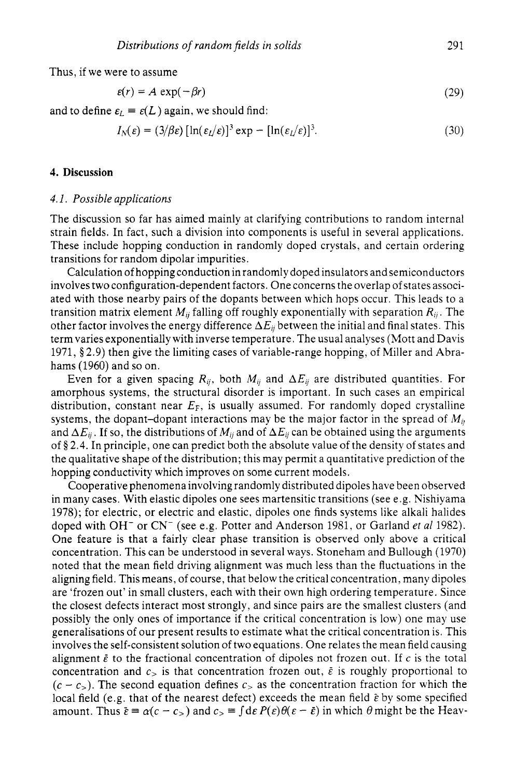Thus, if we were to assume

$$
\varepsilon(r) = A \, \exp(-\beta r) \tag{29}
$$

and to define  $\varepsilon_L \equiv \varepsilon(L)$  again, we should find:

$$
I_N(\varepsilon) = (3/\beta \varepsilon) [\ln(\varepsilon_1/\varepsilon)]^3 \exp - [\ln(\varepsilon_1/\varepsilon)]^3.
$$
 (30)

#### **4. Discussion**

### *4.1. Possible applications*

The discussion so far has aimed mainly at clarifying contributions to random internal strain fields. In fact, such a division into components is useful in several applications. These include hopping conduction in randomly doped crystals, and certain ordering transitions for random dipolar impurities.

Calculation of hopping conduction in randomly doped insulators and semiconductors involves two configuration-dependent factors. One concerns the overlap of states associated with those nearby pairs of the dopants between which hops occur. This leads to a transition matrix element  $M_{ij}$  falling off roughly exponentially with separation  $R_{ij}$ . The other factor involves the energy difference  $\Delta E_{ii}$  between the initial and final states. This term varies exponentially with inverse temperature. The usual analyses (Mott and Davis 1971, § 2.9) then give the limiting cases of variable-range hopping, of Miller and Abrahams (1960) and so on.

Even for a given spacing  $R_{ij}$ , both  $M_{ij}$  and  $\Delta E_{ij}$  are distributed quantities. For amorphous systems, the structural disorder is important. In such cases an empirical distribution, constant near  $E_F$ , is usually assumed. For randomly doped crystalline systems, the dopant-dopant interactions may be the major factor in the spread of  $M_{\nu}$ and  $\Delta E_{ii}$ . If so, the distributions of  $M_{ii}$  and of  $\Delta E_{ii}$  can be obtained using the arguments of **0** 2.4. In principle, one can predict both the absolute value of the density of states and the qualitative shape of the distribution; this may permit a quantitative prediction of the hopping conductivity which improves on some current models.

Cooperative phenomena involving randomly distributed dipoles have been observed in many cases. With elastic dipoles one sees martensitic transitions (see e.g. Nishiyama 1978); for electric, or electric and elastic, dipoles one finds systems like alkali halides doped with OH- or CN- (see e.g. Potter and Anderson 1981, or Garland *et a1* 1982). One feature is that a fairly clear phase transition is observed only above a critical concentration. This can be understood in several ways. Stoneham and Bullough (1970) noted that the mean field driving alignment was much less than the fluctuations in the aligning field. This means, of course, that below the critical concentration, many dipoles are 'frozen out' in small clusters, each with their own high ordering temperature. Since the closest defects interact most strongly, and since pairs are the smallest clusters (and possibly the only ones of importance if the critical concentration is low) one may use generalisations of our present results to estimate what the critical concentration is. This involves the self-consistent solution of two equations. One relates the mean field causing alignment  $\bar{\varepsilon}$  to the fractional concentration of dipoles not frozen out. If  $c$  is the total concentration and  $c_5$  is that concentration frozen out,  $\bar{\varepsilon}$  is roughly proportional to  $(c - c<sub>></sub>)$ . The second equation defines  $c<sub>></sub>$  as the concentration fraction for which the local field (e.g. that of the nearest defect) exceeds the mean field  $\bar{\varepsilon}$  by some specified amount. Thus  $\bar{\varepsilon} \equiv \alpha(c - c_>)$  and  $c_>= \int d\varepsilon P(\varepsilon) \theta(\varepsilon - \bar{\varepsilon})$  in which  $\theta$  might be the Heav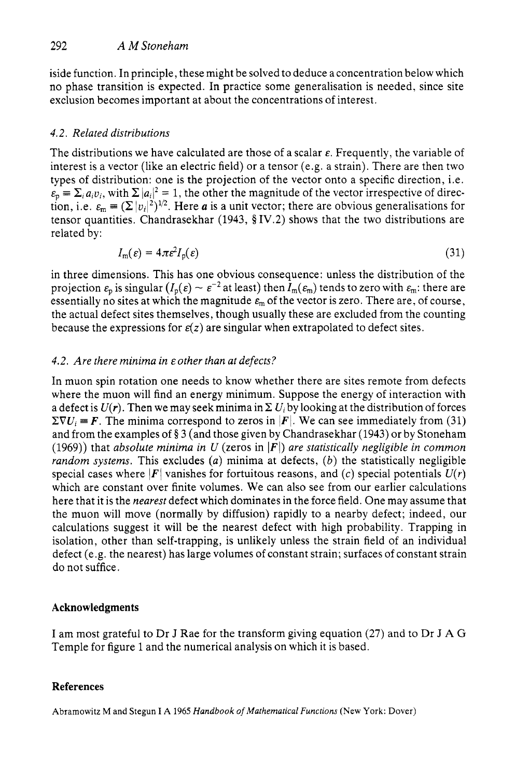iside function. In principle, these might be solved to deduce a concentration below which no phase transition is expected. In practice some generalisation is needed, since site exclusion becomes important at about the concentrations of interest.

# *4.2. Related distributions*

The distributions we have calculated are those of a scalar  $\varepsilon$ . Frequently, the variable of interest is a vector (like an electric field) or a tensor (e.g. a strain). There are then two types of distribution: one is the projection of the vector onto a specific direction, i.e.  $\epsilon_p = \sum_i a_i v_i$ , with  $\sum |a_i|^2 = 1$ , the other the magnitude of the vector irrespective of direction, i.e.  $\varepsilon_m = (\Sigma |v_i|^2)^{1/2}$ . Here *a* is a unit vector; there are obvious generalisations for tensor quantities. Chandrasekhar (1943, § IV.2) shows that the two distributions are related by:

$$
I_{\rm m}(\varepsilon) = 4\pi \varepsilon^2 I_{\rm p}(\varepsilon) \tag{31}
$$

in three dimensions. This has one obvious consequence: unless the distribution of the projection  $\varepsilon_n$  is singular  $(I_n(\varepsilon) \sim \varepsilon^{-2}$  at least) then  $I_m(\varepsilon_m)$  tends to zero with  $\varepsilon_m$ : there are essentially no sites at which the magnitude  $\varepsilon_m$  of the vector is zero. There are, of course, the actual defect sites themselves, though usually these are excluded from the counting because the expressions for  $\varepsilon(z)$  are singular when extrapolated to defect sites.

# *4.2. Are there minima in &other than at defects?*

In muon spin rotation one needs to know whether there are sites remote from defects where the muon will find an energy minimum. Suppose the energy of interaction with a defect is  $U(r)$ . Then we may seek minima in  $\Sigma U_i$  by looking at the distribution of forces  $\Sigma \nabla U_i = F$ . The minima correspond to zeros in  $|F|$ . We can see immediately from (31) and from the examples of **0** 3 (and those given by Chandrasekhar (1943) or by Stoneham (1969)) that *absolute minima in U* (zeros in *IFI) are statistically negligible in common random systems.* This excludes *(a)* minima at defects, *(b)* the statistically negligible special cases where  $|F|$  vanishes for fortuitous reasons, and (c) special potentials  $U(r)$ which are constant over finite volumes. We can also see from our earlier calculations here that it is the *nearest* defect which dominates in the force field. One may assume that the muon will move (normally by diffusion) rapidly to a nearby defect; indeed, our calculations suggest it will be the nearest defect with high probability. Trapping in isolation, other than self-trapping, is unlikely unless the strain field of an individual defect (e.g. the nearest) has large volumes of constant strain; surfaces of constant strain do not suffice.

## **Acknowledgments**

I am most grateful to Dr J Rae for the transform giving equation **(27)** and to Dr J **A** G Temple for figure 1 and the numerical analysis on which it is based.

# **References**

Abramowitz M and Stegun I **A** 1965 *Handbook of Mathematical Funcrions* (New **York:** Dover)